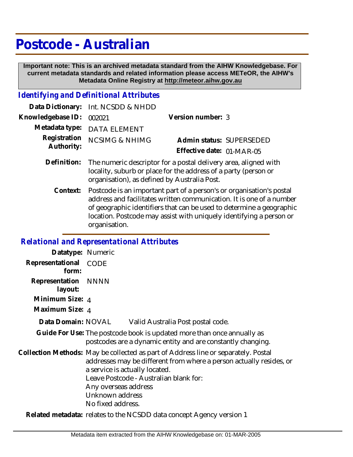# **Postcode - Australian**

 **Important note: This is an archived metadata standard from the AIHW Knowledgebase. For current metadata standards and related information please access METeOR, the AIHW's Metadata Online Registry at http://meteor.aihw.gov.au**

## *Identifying and Definitional Attributes*

|                          | Data Dictionary: Int. NCSDD & NHDD                                      |                           |  |
|--------------------------|-------------------------------------------------------------------------|---------------------------|--|
| Knowledgebase ID: 002021 |                                                                         | Version number: 3         |  |
|                          | Metadata type: DATA ELEMENT                                             |                           |  |
|                          | Registration NCSIMG & NHIMG                                             | Admin status: SUPERSEDED  |  |
| Authority:               |                                                                         | Effective date: 01-MAR-05 |  |
|                          | Definition: The numeric descriptor for a postal delivery area aligned w |                           |  |

- Definition: The numeric descriptor for a postal delivery area, aligned with locality, suburb or place for the address of a party (person or organisation), as defined by Australia Post.
	- Postcode is an important part of a person's or organisation's postal address and facilitates written communication. It is one of a number of geographic identifiers that can be used to determine a geographic location. Postcode may assist with uniquely identifying a person or organisation. **Context:**

#### *Relational and Representational Attributes*

| Datatype: Numeric         |                                                                                                                                                                                                                                                                                                       |
|---------------------------|-------------------------------------------------------------------------------------------------------------------------------------------------------------------------------------------------------------------------------------------------------------------------------------------------------|
| Representational<br>form: | CODE                                                                                                                                                                                                                                                                                                  |
| Representation<br>layout: | NNNN                                                                                                                                                                                                                                                                                                  |
| Minimum Size: 4           |                                                                                                                                                                                                                                                                                                       |
| Maximum Size: 4           |                                                                                                                                                                                                                                                                                                       |
| Data Domain: NOVAL        | Valid Australia Post postal code.                                                                                                                                                                                                                                                                     |
|                           | Guide For Use: The postcode book is updated more than once annually as<br>postcodes are a dynamic entity and are constantly changing.                                                                                                                                                                 |
|                           | Collection Methods: May be collected as part of Address line or separately. Postal<br>addresses may be different from where a person actually resides, or<br>a service is actually located.<br>Leave Postcode - Australian blank for:<br>Any overseas address<br>Unknown address<br>No fixed address. |

**Related metadata:** relates to the NCSDD data concept Agency version 1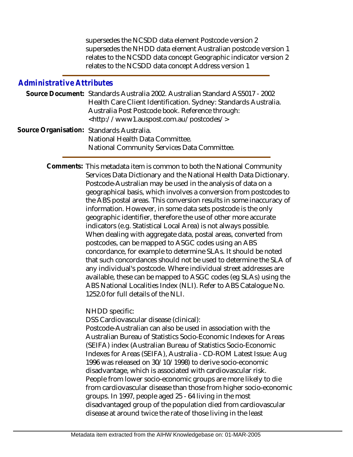supersedes the NCSDD data element Postcode version 2 supersedes the NHDD data element Australian postcode version 1 relates to the NCSDD data concept Geographic indicator version 2 relates to the NCSDD data concept Address version 1

#### *Administrative Attributes*

|  | Source Document: Standards Australia 2002. Australian Standard AS5017 - 2002                                                                                                                                                                                                                                                     |  |
|--|----------------------------------------------------------------------------------------------------------------------------------------------------------------------------------------------------------------------------------------------------------------------------------------------------------------------------------|--|
|  | Health Care Client Identification. Sydney: Standards Australia.                                                                                                                                                                                                                                                                  |  |
|  | Australia Post Postcode book. Reference through:                                                                                                                                                                                                                                                                                 |  |
|  | <http: postcodes="" www1.auspost.com.au=""></http:>                                                                                                                                                                                                                                                                              |  |
|  | $\Gamma$ and $\Gamma$ and $\Gamma$ and $\Gamma$ and $\Gamma$ and $\Gamma$ and $\Gamma$ and $\Gamma$ and $\Gamma$ and $\Gamma$ and $\Gamma$ and $\Gamma$ and $\Gamma$ and $\Gamma$ and $\Gamma$ and $\Gamma$ and $\Gamma$ and $\Gamma$ and $\Gamma$ and $\Gamma$ and $\Gamma$ and $\Gamma$ and $\Gamma$ and $\Gamma$ and $\Gamma$ |  |

Source Organisation: Standards Australia. National Health Data Committee. National Community Services Data Committee.

> Comments: This metadata item is common to both the National Community Services Data Dictionary and the National Health Data Dictionary. Postcode-Australian may be used in the analysis of data on a geographical basis, which involves a conversion from postcodes to the ABS postal areas. This conversion results in some inaccuracy of information. However, in some data sets postcode is the only geographic identifier, therefore the use of other more accurate indicators (e.g. Statistical Local Area) is not always possible. When dealing with aggregate data, postal areas, converted from postcodes, can be mapped to ASGC codes using an ABS concordance, for example to determine SLAs. It should be noted that such concordances should not be used to determine the SLA of any individual's postcode. Where individual street addresses are available, these can be mapped to ASGC codes (eg SLAs) using the ABS National Localities Index (NLI). Refer to ABS Catalogue No. 1252.0 for full details of the NLI.

> > NHDD specific:

DSS Cardiovascular disease (clinical):

Postcode-Australian can also be used in association with the Australian Bureau of Statistics Socio-Economic Indexes for Areas (SEIFA) index (Australian Bureau of Statistics Socio-Economic Indexes for Areas (SEIFA), Australia - CD-ROM Latest Issue: Aug 1996 was released on 30/10/1998) to derive socio-economic disadvantage, which is associated with cardiovascular risk. People from lower socio-economic groups are more likely to die from cardiovascular disease than those from higher socio-economic groups. In 1997, people aged 25 - 64 living in the most disadvantaged group of the population died from cardiovascular disease at around twice the rate of those living in the least